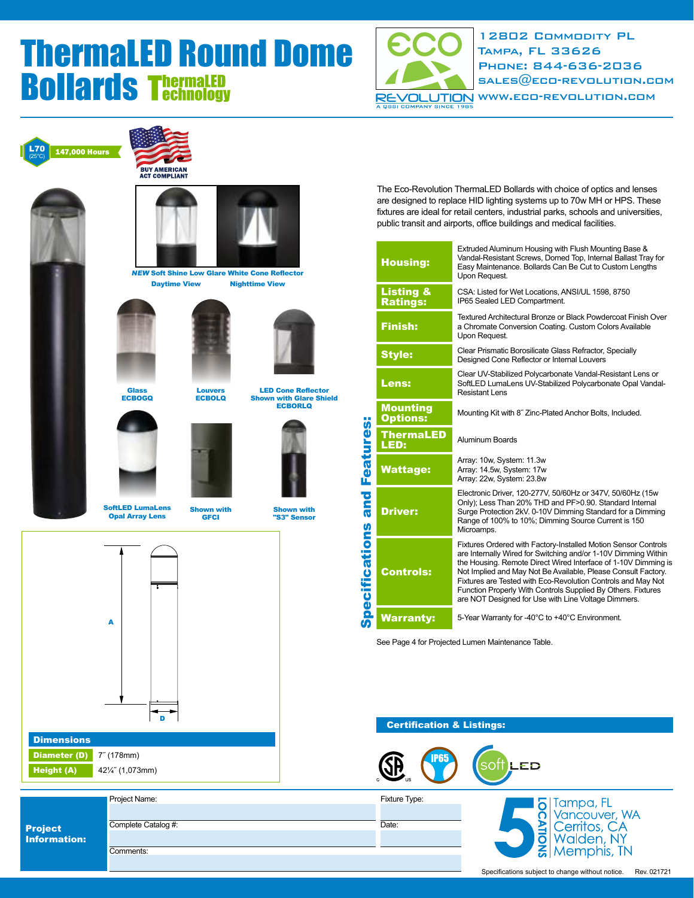

12802 Commodity PL Tampa, FL 33626 Phone: 844-636-2036  $SALES@ECO-REVOLUTION:COM$ [www.eco-revolution.com](http://eco-revolution.com/)









Louvers

**ECBOLQ** 

**Glass ECBOGQ** 



SoftLED LumaLens Opal Array Lens

Shown with **GFCI** 



LED Cone Reflector Shown with Glare Shield **ECBORLQ** 





Height (A) 42¼" (1,073mm)

|                                | Project Name:       |
|--------------------------------|---------------------|
| <b>Project</b><br>Information: |                     |
|                                | Complete Catalog #: |
|                                |                     |
|                                | Comments:           |
|                                |                     |

The Eco-Revolution ThermaLED Bollards with choice of optics and lenses are designed to replace HID lighting systems up to 70w MH or HPS. These fixtures are ideal for retail centers, industrial parks, schools and universities, public transit and airports, office buildings and medical facilities.

|                                          | <b>Housing:</b>                         | Extruded Aluminum Housing with Flush Mounting Base &<br>Vandal-Resistant Screws, Domed Top, Internal Ballast Tray for<br>Easy Maintenance. Bollards Can Be Cut to Custom Lengths<br>Upon Request.                                                                                                                                                                                                                                                          |  |  |  |  |  |
|------------------------------------------|-----------------------------------------|------------------------------------------------------------------------------------------------------------------------------------------------------------------------------------------------------------------------------------------------------------------------------------------------------------------------------------------------------------------------------------------------------------------------------------------------------------|--|--|--|--|--|
| <b>Features:</b><br>and<br>pecifications | <b>Listing &amp;</b><br><b>Ratings:</b> | CSA: Listed for Wet Locations, ANSI/UL 1598, 8750<br>IP65 Sealed LED Compartment.                                                                                                                                                                                                                                                                                                                                                                          |  |  |  |  |  |
|                                          | <b>Finish:</b>                          | Textured Architectural Bronze or Black Powdercoat Finish Over<br>a Chromate Conversion Coating. Custom Colors Available<br>Upon Request.                                                                                                                                                                                                                                                                                                                   |  |  |  |  |  |
|                                          | <b>Style:</b>                           | Clear Prismatic Borosilicate Glass Refractor, Specially<br>Designed Cone Reflector or Internal Louvers                                                                                                                                                                                                                                                                                                                                                     |  |  |  |  |  |
|                                          | <b>Lens:</b>                            | Clear UV-Stabilized Polycarbonate Vandal-Resistant Lens or<br>SoftLED LumaLens UV-Stabilized Polycarbonate Opal Vandal-<br>Resistant Lens                                                                                                                                                                                                                                                                                                                  |  |  |  |  |  |
|                                          | <b>Mounting</b><br><b>Options:</b>      | Mounting Kit with 8" Zinc-Plated Anchor Bolts, Included.                                                                                                                                                                                                                                                                                                                                                                                                   |  |  |  |  |  |
|                                          | <b>ThermaLED</b><br>LED:                | Aluminum Boards                                                                                                                                                                                                                                                                                                                                                                                                                                            |  |  |  |  |  |
|                                          | <b>Wattage:</b>                         | Array: 10w, System: 11.3w<br>Array: 14.5w, System: 17w<br>Array: 22w, System: 23.8w                                                                                                                                                                                                                                                                                                                                                                        |  |  |  |  |  |
|                                          | <b>Driver:</b>                          | Electronic Driver, 120-277V, 50/60Hz or 347V, 50/60Hz (15w<br>Only); Less Than 20% THD and PF>0.90. Standard Internal<br>Surge Protection 2kV. 0-10V Dimming Standard for a Dimming<br>Range of 100% to 10%; Dimming Source Current is 150<br>Microamps.                                                                                                                                                                                                   |  |  |  |  |  |
|                                          | <b>Controls:</b>                        | Fixtures Ordered with Factory-Installed Motion Sensor Controls<br>are Internally Wired for Switching and/or 1-10V Dimming Within<br>the Housing. Remote Direct Wired Interface of 1-10V Dimming is<br>Not Implied and May Not Be Available, Please Consult Factory.<br>Fixtures are Tested with Eco-Revolution Controls and May Not<br>Function Properly With Controls Supplied By Others. Fixtures<br>are NOT Designed for Use with Line Voltage Dimmers. |  |  |  |  |  |
| ശ                                        | <b>Warranty:</b>                        | 5-Year Warranty for -40°C to +40°C Environment.                                                                                                                                                                                                                                                                                                                                                                                                            |  |  |  |  |  |

See Page 4 for Projected Lumen Maintenance Table.

### Certification & Listings:

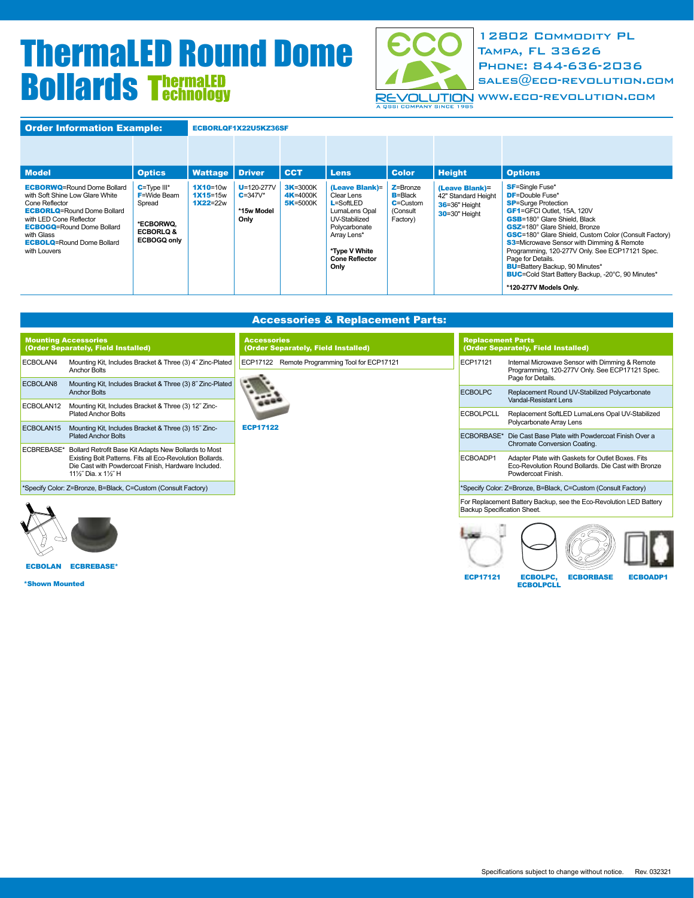

12802 Commodity PL Tampa, FL 33626 Phone: 844-636-2036  $SALES@ECD-REVOLUTION.CDM$ 

REVOLUTION WWW.ECO-REVOLUTION.COM

| <b>Order Information Example:</b>                                                                                                                                                                                                                            |                                                                                                          | ECBORLQF1X22U5KZ36SF                       |                                                        |                                                  |                                                                                                                                                                   |                                                                     |                                                                                 |                                                                                                                                                                                                                                                                                                                                                                                                                                                                                                     |
|--------------------------------------------------------------------------------------------------------------------------------------------------------------------------------------------------------------------------------------------------------------|----------------------------------------------------------------------------------------------------------|--------------------------------------------|--------------------------------------------------------|--------------------------------------------------|-------------------------------------------------------------------------------------------------------------------------------------------------------------------|---------------------------------------------------------------------|---------------------------------------------------------------------------------|-----------------------------------------------------------------------------------------------------------------------------------------------------------------------------------------------------------------------------------------------------------------------------------------------------------------------------------------------------------------------------------------------------------------------------------------------------------------------------------------------------|
|                                                                                                                                                                                                                                                              |                                                                                                          |                                            |                                                        |                                                  |                                                                                                                                                                   |                                                                     |                                                                                 |                                                                                                                                                                                                                                                                                                                                                                                                                                                                                                     |
| <b>Model</b>                                                                                                                                                                                                                                                 | <b>Optics</b>                                                                                            | <b>Wattage</b>                             | <b>Driver</b>                                          | <b>CCT</b>                                       | <b>Lens</b>                                                                                                                                                       | <b>Color</b>                                                        | <b>Height</b>                                                                   | <b>Options</b>                                                                                                                                                                                                                                                                                                                                                                                                                                                                                      |
| <b>ECBORWQ=Round Dome Bollard</b><br>with Soft Shine Low Glare White<br>Cone Reflector<br><b>ECBORLQ=Round Dome Bollard</b><br>with LED Cone Reflector<br><b>ECBOGQ=Round Dome Bollard</b><br>with Glass<br><b>ECBOLQ=Round Dome Bollard</b><br>with Louvers | $C = Type III^*$<br>$F =$ Wide Beam<br>Spread<br>*ECBORWQ.<br><b>ECBORLO &amp;</b><br><b>ECBOGQ only</b> | $1X10=10w$<br>$1X15 = 15W$<br>$1X22 = 22w$ | $U = 120 - 277V$<br>$C = 347V^*$<br>*15w Model<br>Only | <b>3K</b> =3000K<br>4K=4000K<br><b>5K</b> =5000K | (Leave Blank)=<br>Clear Lens<br>$L =$ SoftLED<br>LumaLens Opal<br>UV-Stabilized<br>Polycarbonate<br>Array Lens*<br>*Type V White<br><b>Cone Reflector</b><br>Only | $Z =$ Bronze<br>$B = Black$<br>$C =$ Custom<br>(Consult<br>Factory) | (Leave Blank)=<br>42" Standard Height<br>36=36" Height<br><b>30</b> =30" Height | <b>SF</b> =Single Fuse*<br><b>DF</b> =Double Fuse*<br><b>SP</b> =Surge Protection<br>GF1=GFCI Outlet, 15A, 120V<br><b>GSB</b> =180° Glare Shield, Black<br><b>GSZ</b> =180° Glare Shield, Bronze<br><b>GSC</b> =180° Glare Shield, Custom Color (Consult Factory)<br><b>S3</b> =Microwave Sensor with Dimming & Remote<br>Programming, 120-277V Only. See ECP17121 Spec.<br>Page for Details.<br><b>BU=Battery Backup, 90 Minutes*</b><br><b>BUC</b> =Cold Start Battery Backup, -20°C, 90 Minutes* |
|                                                                                                                                                                                                                                                              |                                                                                                          |                                            |                                                        |                                                  |                                                                                                                                                                   |                                                                     |                                                                                 | *120-277V Models Only.                                                                                                                                                                                                                                                                                                                                                                                                                                                                              |

| <b>Accessories &amp; Replacement Parts:</b>               |                                                                 |                                                                                                                                |  |  |  |  |  |
|-----------------------------------------------------------|-----------------------------------------------------------------|--------------------------------------------------------------------------------------------------------------------------------|--|--|--|--|--|
| <b>Accessories</b><br>(Order Separately, Field Installed) | <b>Replacement Parts</b><br>(Order Separately, Field Installed) |                                                                                                                                |  |  |  |  |  |
| ECP17122 Remote Programming Tool for ECP17121             | ECP17121                                                        | Internal Microwave Sensor with Dimming & Remote<br>Programming, 120-277V Only. See ECP17121 Spec.<br>Page for Details.         |  |  |  |  |  |
|                                                           |                                                                 | Replacement Round UV-Stabilized Polycarbonate<br>Vandal-Resistant Lens                                                         |  |  |  |  |  |
|                                                           | <b>ECBOLPCLL</b>                                                | Replacement SoftLED LumaLens Opal UV-Stabilized<br>Polycarbonate Array Lens                                                    |  |  |  |  |  |
| <b>ECP17122</b>                                           | ECBORBASE*                                                      | Die Cast Base Plate with Powdercoat Finish Over a<br>Chromate Conversion Coating.                                              |  |  |  |  |  |
|                                                           | ECBOADP1                                                        | Adapter Plate with Gaskets for Outlet Boxes. Fits<br>Eco-Revolution Round Bollards. Die Cast with Bronze<br>Powdercoat Finish. |  |  |  |  |  |
|                                                           |                                                                 | *Specify Color: Z=Bronze, B=Black, C=Custom (Consult Factory)                                                                  |  |  |  |  |  |
|                                                           | Backup Specification Sheet.                                     | For Replacement Battery Backup, see the Eco-Revolution LED Battery                                                             |  |  |  |  |  |
|                                                           |                                                                 | <b>ECBOLPC</b>                                                                                                                 |  |  |  |  |  |

ECBOLAN ECBREBASE\*

\*Shown Mounted

ECP17121 ECBOLPC, ECBORBASE ECBOADP1

ECBOLPC,<br>ECBOLPCLL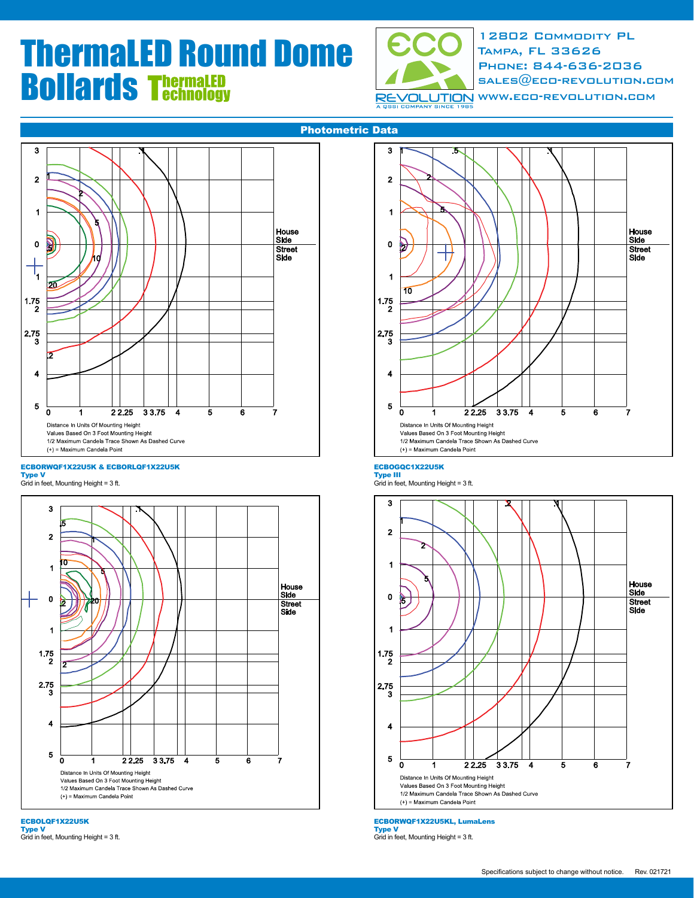

12802 Commodity PL Tampa, FL 33626 Phone: 844-636-2036  $SALES@ECO-REVOLUTION:COM$ 

**RE** 



#### ECBORWQF1X22U5K & ECBORLQF1X22U5K

Type V Grid in feet, Mounting Height = 3 ft.







#### ECBOGQC1X22U5K

**Type III**<br>Grid in feet, Mounting Height = 3 ft.



ECBORWQF1X22U5KL, LumaLens

Type V Grid in feet, Mounting Height = 3 ft.